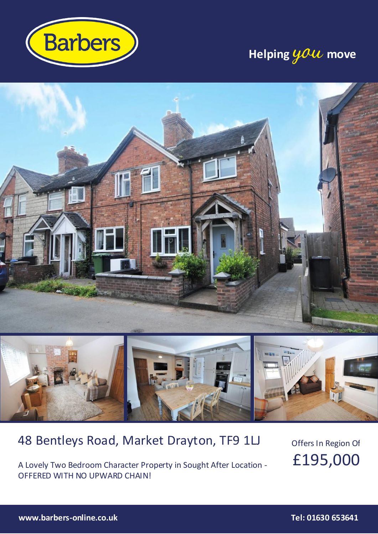

### **Helping you move**



### 48 Bentleys Road, Market Drayton, TF9 1LJ

A Lovely Two Bedroom Character Property in Sought After Location - OFFERED WITH NO UPWARD CHAIN!

Offers In Region Of £195,000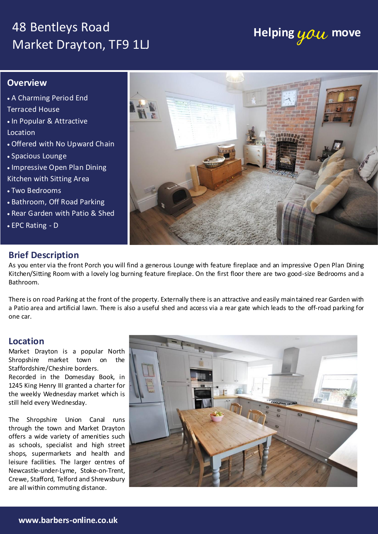### 48 Bentleys Road Market Drayton, TF9 1LJ

# **Helping you move**

#### **Overview**

 A Charming Period End Terraced House • In Popular & Attractive Location Offered with No Upward Chain Spacious Lounge • Impressive Open Plan Dining Kitchen with Sitting Area Two Bedrooms • Bathroom, Off Road Parking Rear Garden with Patio & Shed EPC Rating - D



### **Brief Description**

As you enter via the front Porch you will find a generous Lounge with feature fireplace and an impressive Open Plan Dining Kitchen/Sitting Room with a lovely log burning feature fireplace. On the first floor there are two good-size Bedrooms and a Bathroom.

There is on road Parking at the front of the property. Externally there is an attractive and easily maintained rear Garden with a Patio area and artificial lawn. There is also a useful shed and access via a rear gate which leads to the off-road parking for one car.

### **Location**

Staffordshire/Cheshire borders.

still held every Wednesday.

The Shropshire Union Canal runs through the town and Market Drayton offers a wide variety of amenities such as schools, specialist and high street shops, supermarkets and health and leisure facilities. The larger centres of Newcastle-under-Lyme, Stoke-on-Trent, Crewe, Stafford, Telford and Shrewsbury  $\vert$ ENERGY PERFORMANCE CERTIFICATE CERTIFICATE CERTIFICATE THE full energy performance certificate (EPC) is available for this property upon the full energy performance.

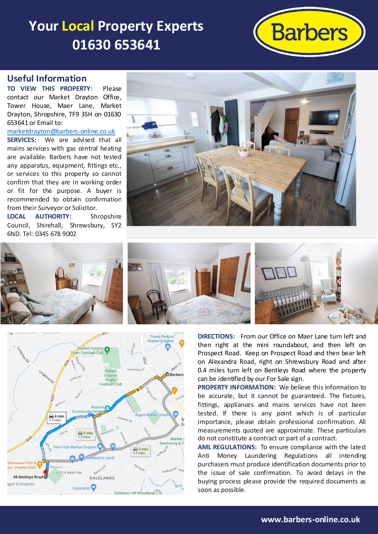## **Your Local Property Experts 01630 653641**



#### **Useful Information**

**TO VIEW THIS PROPERTY:** Please contact our Market Drayton Office, Tower House, Maer Lane, Market Drayton, Shropshire, TF9 3SH on 01630 653641 or Email to:

[marketdrayton@barbers-online.co.uk](mailto:marketdrayton@barbers-online.co.uk)

**SERVICES:** We are advised that all mains services with gas central heating are available. Barbers have not tested any apparatus, equipment, fittings etc., or services to this property so cannot confirm that they are in working order or fit for the purpose. A buyer is recommended to obtain confirmation from their Surveyor or Solicitor.

**LOCAL AUTHORITY:** Shropshire Council, Shirehall, Shrewsbury, SY2 6ND. Tel: 0345 678 9002





**Travis Perkins** Market Dravtor Market Drayton Market ORarhers Draytor Rugby<br>Football Club  $\bigoplus$  4 min  $\bigoplus_{1,3}$  5 min Market Swimming &  $\bigoplus_{1.4}$  5 min -Drayton Eats LITTLE DRAYTON 48 Bentleys Road O DALELANDS qurt & Desserts Costcutter<sup>1</sup> Salisbury Hill Woodland

**DIRECTIONS:** From our Office on Maer Lane turn left and then right at the mini roundabout, and then left on Prospect Road. Keep on Prospect Road and then bear left on Alexandra Road, right on Shrewsbury Road and after 0.4 miles turn left on Bentleys Road where the property can be identified by our For Sale sign.

**PROPERTY INFORMATION:** We believe this information to be accurate, but it cannot be guaranteed. The fixtures, fittings, appliances and mains services have not been tested. If there is any point which is of particular importance, please obtain professional confirmation. All measurements quoted are approximate. These particulars do not constitute a contract or part of a contract.

**AML REGULATIONS:** To ensure compliance with the latest Anti Money Laundering Regulations all intending purchasers must produce identification documents prior to the issue of sale confirmation. To avoid delays in the buying process please provide the required documents as soon as possible.